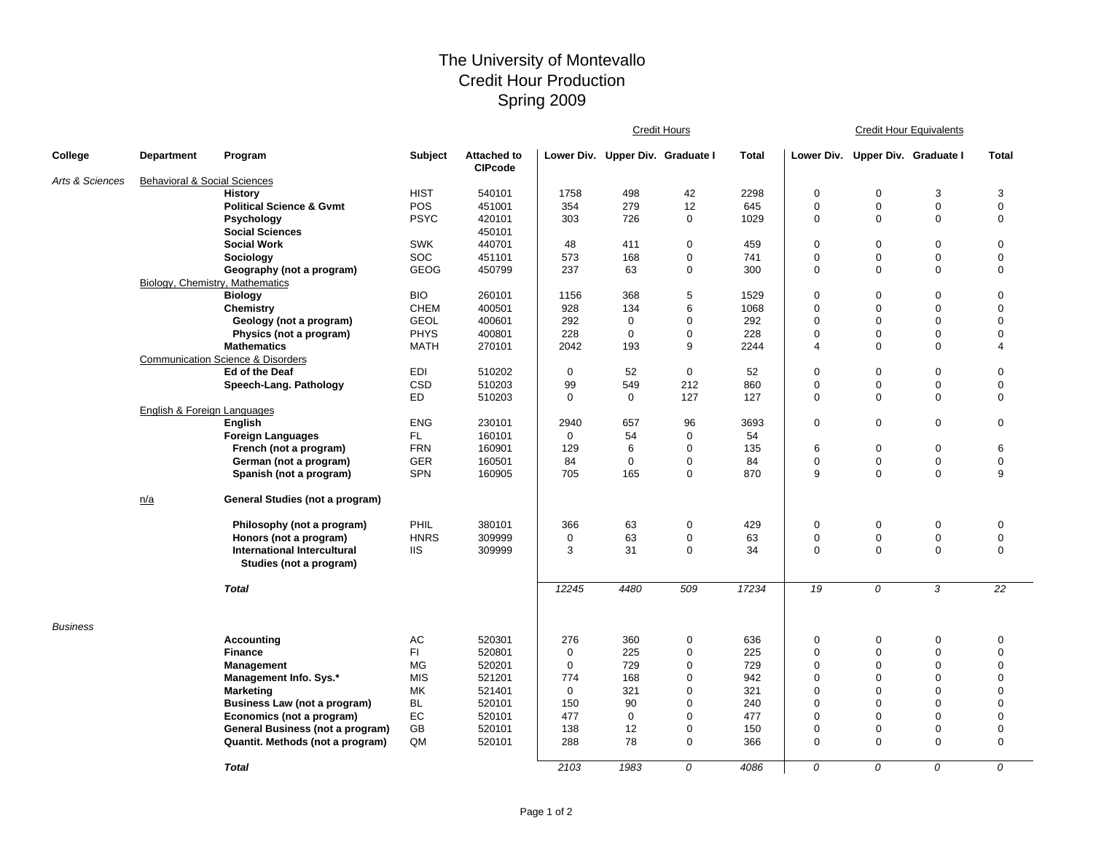## The University of Montevallo Credit Hour Production Spring 2009

|                 |                                         |                                                               |             |                                      | <b>Credit Hours</b>              |             |             |       | <b>Credit Hour Equivalents</b> |                                  |                  |                  |  |
|-----------------|-----------------------------------------|---------------------------------------------------------------|-------------|--------------------------------------|----------------------------------|-------------|-------------|-------|--------------------------------|----------------------------------|------------------|------------------|--|
| College         | <b>Department</b>                       | Program                                                       | Subject     | <b>Attached to</b><br><b>CIPcode</b> | Lower Div. Upper Div. Graduate I |             |             | Total |                                | Lower Div. Upper Div. Graduate I |                  | <b>Total</b>     |  |
| Arts & Sciences | <b>Behavioral &amp; Social Sciences</b> |                                                               |             |                                      |                                  |             |             |       |                                |                                  |                  |                  |  |
|                 |                                         | <b>History</b>                                                | <b>HIST</b> | 540101                               | 1758                             | 498         | 42          | 2298  | $\mathbf 0$                    | 0                                | 3                | 3                |  |
|                 |                                         | <b>Political Science &amp; Gvmt</b>                           | POS         | 451001                               | 354                              | 279         | 12          | 645   | $\mathbf 0$                    | $\mathbf 0$                      | $\boldsymbol{0}$ | $\boldsymbol{0}$ |  |
|                 |                                         | <b>Psychology</b>                                             | <b>PSYC</b> | 420101                               | 303                              | 726         | 0           | 1029  | $\mathbf 0$                    | $\Omega$                         | 0                | $\mathbf 0$      |  |
|                 |                                         | <b>Social Sciences</b>                                        |             | 450101                               |                                  |             |             |       |                                |                                  |                  |                  |  |
|                 |                                         | <b>Social Work</b>                                            | <b>SWK</b>  | 440701                               | 48                               | 411         | $\mathbf 0$ | 459   | $\mathbf 0$                    | 0                                | $\mathbf 0$      | $\mathbf 0$      |  |
|                 |                                         | Sociology                                                     | <b>SOC</b>  | 451101                               | 573                              | 168         | $\mathbf 0$ | 741   | $\mathbf 0$                    | $\mathbf 0$                      | $\mathbf 0$      | $\boldsymbol{0}$ |  |
|                 |                                         | Geography (not a program)                                     | <b>GEOG</b> | 450799                               | 237                              | 63          | $\mathbf 0$ | 300   | $\mathbf 0$                    | $\Omega$                         | $\Omega$         | $\mathbf 0$      |  |
|                 | Biology, Chemistry, Mathematics         |                                                               |             |                                      |                                  |             |             |       |                                |                                  |                  |                  |  |
|                 |                                         | <b>Biology</b>                                                | <b>BIO</b>  | 260101                               | 1156                             | 368         | 5           | 1529  | $\mathbf 0$                    | 0                                | $\mathbf 0$      | $\mathbf 0$      |  |
|                 |                                         | Chemistry                                                     | <b>CHEM</b> | 400501                               | 928                              | 134         | 6           | 1068  | $\mathbf 0$                    | $\mathbf 0$                      | 0                | $\Omega$         |  |
|                 |                                         | Geology (not a program)                                       | <b>GEOL</b> | 400601                               | 292                              | 0           | 0           | 292   | $\mathbf 0$                    | 0                                | $\mathbf 0$      | $\Omega$         |  |
|                 |                                         | Physics (not a program)                                       | <b>PHYS</b> | 400801                               | 228                              | 0           | $\mathbf 0$ | 228   | $\Omega$                       | 0                                | $\mathbf 0$      | $\Omega$         |  |
|                 |                                         | <b>Mathematics</b>                                            | <b>MATH</b> | 270101                               | 2042                             | 193         | 9           | 2244  | $\overline{4}$                 | $\mathbf 0$                      | $\mathbf 0$      | $\overline{4}$   |  |
|                 |                                         | <b>Communication Science &amp; Disorders</b>                  |             |                                      |                                  |             |             |       |                                |                                  |                  |                  |  |
|                 |                                         | Ed of the Deaf                                                | <b>EDI</b>  | 510202                               | $\mathbf 0$                      | 52          | $\mathbf 0$ | 52    | $\mathbf 0$                    | $\mathbf 0$                      | $\mathbf 0$      | $\mathbf 0$      |  |
|                 |                                         | Speech-Lang. Pathology                                        | CSD         | 510203                               | 99                               | 549         | 212         | 860   | $\mathbf 0$                    | 0                                | $\mathbf 0$      | $\mathbf 0$      |  |
|                 |                                         |                                                               | ED          | 510203                               | $\mathbf 0$                      | 0           | 127         | 127   | $\mathbf 0$                    | 0                                | $\mathbf 0$      | 0                |  |
|                 | English & Foreign Languages             |                                                               |             |                                      |                                  |             |             |       |                                |                                  |                  |                  |  |
|                 |                                         | <b>English</b>                                                | <b>ENG</b>  | 230101                               | 2940                             | 657         | 96          | 3693  | $\mathbf 0$                    | $\mathbf 0$                      | $\boldsymbol{0}$ | $\mathbf 0$      |  |
|                 |                                         | <b>Foreign Languages</b>                                      | FL.         | 160101                               | $\mathbf 0$                      | 54          | 0           | 54    |                                |                                  |                  |                  |  |
|                 |                                         | French (not a program)                                        | <b>FRN</b>  | 160901                               | 129                              | 6           | 0           | 135   | 6                              | 0                                | $\mathbf 0$      | 6                |  |
|                 |                                         | German (not a program)                                        | <b>GER</b>  | 160501                               | 84                               | $\mathbf 0$ | $\mathbf 0$ | 84    | $\mathbf 0$                    | 0                                | $\mathbf 0$      | $\pmb{0}$        |  |
|                 |                                         | Spanish (not a program)                                       | <b>SPN</b>  | 160905                               | 705                              | 165         | 0           | 870   | 9                              | $\mathbf 0$                      | 0                | 9                |  |
|                 | n/a                                     | General Studies (not a program)                               |             |                                      |                                  |             |             |       |                                |                                  |                  |                  |  |
|                 |                                         | Philosophy (not a program)                                    | PHIL        | 380101                               | 366                              | 63          | $\mathbf 0$ | 429   | $\mathbf 0$                    | 0                                | $\mathbf 0$      | $\mathbf 0$      |  |
|                 |                                         | Honors (not a program)                                        | <b>HNRS</b> | 309999                               | $\mathbf 0$                      | 63          | $\mathbf 0$ | 63    | $\mathbf 0$                    | 0                                | $\mathbf 0$      | $\boldsymbol{0}$ |  |
|                 |                                         | <b>International Intercultural</b><br>Studies (not a program) | <b>IIS</b>  | 309999                               | 3                                | 31          | $\mathbf 0$ | 34    | $\mathbf 0$                    | $\Omega$                         | $\Omega$         | $\mathbf 0$      |  |
|                 |                                         | <b>Total</b>                                                  |             |                                      | 12245                            | 4480        | 509         | 17234 | 19                             | 0                                | 3                | 22               |  |
| <b>Business</b> |                                         |                                                               |             |                                      |                                  |             |             |       |                                |                                  |                  |                  |  |
|                 |                                         | <b>Accounting</b>                                             | AC          | 520301                               | 276                              | 360         | $\mathbf 0$ | 636   | $\mathbf 0$                    | 0                                | $\mathbf 0$      | $\mathbf 0$      |  |
|                 |                                         | <b>Finance</b>                                                | FI.         | 520801                               | $\mathbf 0$                      | 225         | 0           | 225   | $\mathbf 0$                    | $\mathbf 0$                      | $\mathbf 0$      | $\mathbf 0$      |  |
|                 |                                         | Management                                                    | MG          | 520201                               | $\Omega$                         | 729         | $\mathbf 0$ | 729   | $\Omega$                       | 0                                | $\Omega$         | $\Omega$         |  |
|                 |                                         | Management Info. Sys.*                                        | <b>MIS</b>  | 521201                               | 774                              | 168         | $\mathbf 0$ | 942   | $\Omega$                       | $\mathbf 0$                      | 0                | $\mathbf 0$      |  |
|                 |                                         | <b>Marketing</b>                                              | MK          | 521401                               | $\mathbf 0$                      | 321         | $\mathbf 0$ | 321   | $\Omega$                       | $\mathbf 0$                      | $\mathbf 0$      | $\mathbf 0$      |  |
|                 |                                         | <b>Business Law (not a program)</b>                           | <b>BL</b>   | 520101                               | 150                              | 90          | $\mathbf 0$ | 240   | $\Omega$                       | $\mathbf 0$                      | $\Omega$         | $\mathbf 0$      |  |
|                 |                                         | Economics (not a program)                                     | EC          | 520101                               | 477                              | 0           | $\mathbf 0$ | 477   | $\Omega$                       | 0                                | $\mathbf 0$      | $\mathbf 0$      |  |
|                 |                                         | General Business (not a program)                              | GB          | 520101                               | 138                              | 12          | $\mathbf 0$ | 150   | $\mathbf 0$                    | 0                                | 0                | $\mathbf 0$      |  |
|                 |                                         | Quantit. Methods (not a program)                              | QM          | 520101                               | 288                              | 78          | $\mathbf 0$ | 366   | $\mathbf 0$                    | $\mathbf 0$                      | $\Omega$         | $\boldsymbol{0}$ |  |
|                 |                                         | <b>Total</b>                                                  |             |                                      | 2103                             | 1983        | $\theta$    | 4086  | $\Omega$                       | $\Omega$                         | $\Omega$         | $\Omega$         |  |